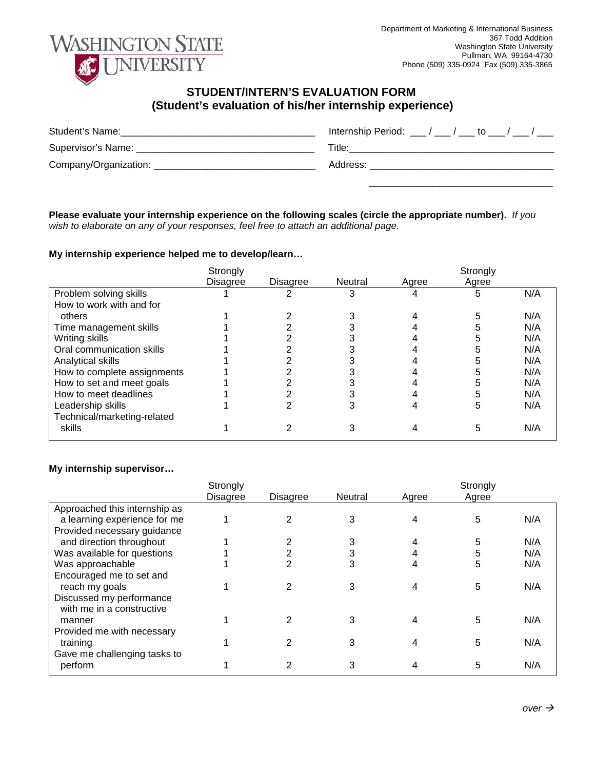

## **STUDENT/INTERN'S EVALUATION FORM (Student's evaluation of his/her internship experience)**

| Student's Name:                           | Internship Period: $\frac{1}{2}$ / $\frac{1}{2}$ to $\frac{1}{2}$ / $\frac{1}{2}$ |
|-------------------------------------------|-----------------------------------------------------------------------------------|
| Supervisor's Name: ______________________ | Title:                                                                            |
| Company/Organization: ____                | Address:                                                                          |
|                                           |                                                                                   |

**Please evaluate your internship experience on the following scales (circle the appropriate number).** *If you wish to elaborate on any of your responses, feel free to attach an additional page.*

## **My internship experience helped me to develop/learn…**

|                             | Strongly        |          |         |       | Strongly |     |
|-----------------------------|-----------------|----------|---------|-------|----------|-----|
|                             | <b>Disagree</b> | Disagree | Neutral | Agree | Agree    |     |
| Problem solving skills      |                 |          |         |       | h        | N/A |
| How to work with and for    |                 |          |         |       |          |     |
| others                      |                 |          |         |       |          | N/A |
| Time management skills      |                 |          |         |       |          | N/A |
| Writing skills              |                 |          |         |       |          | N/A |
| Oral communication skills   |                 |          |         |       |          | N/A |
| Analytical skills           |                 |          |         |       |          | N/A |
| How to complete assignments |                 |          |         |       |          | N/A |
| How to set and meet goals   |                 |          |         |       |          | N/A |
| How to meet deadlines       |                 |          |         |       |          | N/A |
| Leadership skills           |                 |          |         |       |          | N/A |
| Technical/marketing-related |                 |          |         |       |          |     |
| skills                      |                 |          |         |       | 5        | N/A |

## **My internship supervisor…**

|                               | Strongly        |                 |         |       | Strongly |     |
|-------------------------------|-----------------|-----------------|---------|-------|----------|-----|
|                               | <b>Disagree</b> | <b>Disagree</b> | Neutral | Agree | Agree    |     |
| Approached this internship as |                 |                 |         |       |          |     |
| a learning experience for me  |                 | 2               | 3       |       | 5        | N/A |
| Provided necessary guidance   |                 |                 |         |       |          |     |
| and direction throughout      |                 |                 | 3       |       | 5        | N/A |
| Was available for questions   |                 |                 | 3       |       | 5        | N/A |
| Was approachable              |                 |                 | 3       | 4     | 5        | N/A |
| Encouraged me to set and      |                 |                 |         |       |          |     |
| reach my goals                |                 |                 | 3       |       | 5        | N/A |
| Discussed my performance      |                 |                 |         |       |          |     |
| with me in a constructive     |                 |                 |         |       |          |     |
| manner                        |                 | 2               | 3       |       | 5        | N/A |
| Provided me with necessary    |                 |                 |         |       |          |     |
| training                      |                 |                 | 3       |       | 5        | N/A |
| Gave me challenging tasks to  |                 |                 |         |       |          |     |
| perform                       |                 | 2               | 3       |       | 5        | N/A |